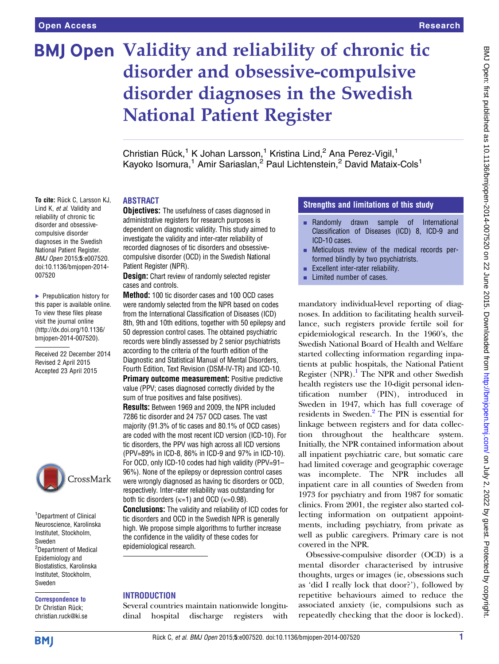To cite: Rück C, Larsson KJ, Lind K, et al. Validity and reliability of chronic tic disorder and obsessivecompulsive disorder diagnoses in the Swedish National Patient Register. BMJ Open 2015;5:e007520. doi:10.1136/bmjopen-2014-

▶ Prepublication history for this paper is available online. To view these files please visit the journal online [\(http://dx.doi.org/10.1136/](http://dx.doi.org/10.1136/bmjopen-2014-007520) [bmjopen-2014-007520](http://dx.doi.org/10.1136/bmjopen-2014-007520)). Received 22 December 2014 Revised 2 April 2015 Accepted 23 April 2015

007520

# BMJ Open Validity and reliability of chronic tic disorder and obsessive-compulsive disorder diagnoses in the Swedish National Patient Register

Christian Rück,<sup>1</sup> K Johan Larsson,<sup>1</sup> Kristina Lind,<sup>2</sup> Ana Perez-Vigil,<sup>1</sup> Kayoko Isomura,<sup>1</sup> Amir Sariaslan,<sup>2</sup> Paul Lichtenstein,<sup>2</sup> David Mataix-Cols<sup>1</sup>

# ABSTRACT

**Objectives:** The usefulness of cases diagnosed in administrative registers for research purposes is dependent on diagnostic validity. This study aimed to investigate the validity and inter-rater reliability of recorded diagnoses of tic disorders and obsessivecompulsive disorder (OCD) in the Swedish National Patient Register (NPR).

**Design:** Chart review of randomly selected register cases and controls.

Method: 100 tic disorder cases and 100 OCD cases were randomly selected from the NPR based on codes from the International Classification of Diseases (ICD) 8th, 9th and 10th editions, together with 50 epilepsy and 50 depression control cases. The obtained psychiatric records were blindly assessed by 2 senior psychiatrists according to the criteria of the fourth edition of the Diagnostic and Statistical Manual of Mental Disorders, Fourth Edition, Text Revision (DSM-IV-TR) and ICD-10.

**Primary outcome measurement: Positive predictive** value (PPV; cases diagnosed correctly divided by the sum of true positives and false positives).

Results: Between 1969 and 2009, the NPR included 7286 tic disorder and 24 757 OCD cases. The vast majority (91.3% of tic cases and 80.1% of OCD cases) are coded with the most recent ICD version (ICD-10). For tic disorders, the PPV was high across all ICD versions (PPV=89% in ICD-8, 86% in ICD-9 and 97% in ICD-10). For OCD, only ICD-10 codes had high validity (PPV=91– 96%). None of the epilepsy or depression control cases were wrongly diagnosed as having tic disorders or OCD, respectively. Inter-rater reliability was outstanding for both tic disorders ( $\kappa=1$ ) and OCD ( $\kappa=0.98$ ). **Conclusions:** The validity and reliability of ICD codes for tic disorders and OCD in the Swedish NPR is generally high. We propose simple algorithms to further increase the confidence in the validity of these codes for epidemiological research.

### INTRODUCTION

Several countries maintain nationwide longitudinal hospital discharge registers with

#### Strengths and limitations of this study

- **Randomly drawn sample of International** Classification of Diseases (ICD) 8, ICD-9 and ICD-10 cases.
- Meticulous review of the medical records performed blindly by two psychiatrists.
- **Excellent inter-rater reliability.**
- **EXECUTE:** Limited number of cases.

mandatory individual-level reporting of diagnoses. In addition to facilitating health surveillance, such registers provide fertile soil for epidemiological research. In the 1960's, the Swedish National Board of Health and Welfare started collecting information regarding inpatients at public hospitals, the National Patient Register (NPR).<sup>[1](#page-6-0)</sup> The NPR and other Swedish health registers use the 10-digit personal identification number (PIN), introduced in Sweden in 1947, which has full coverage of residents in Sweden[.2](#page-6-0) The PIN is essential for linkage between registers and for data collection throughout the healthcare system. Initially, the NPR contained information about all inpatient psychiatric care, but somatic care had limited coverage and geographic coverage was incomplete. The NPR includes all inpatient care in all counties of Sweden from 1973 for psychiatry and from 1987 for somatic clinics. From 2001, the register also started collecting information on outpatient appointments, including psychiatry, from private as well as public caregivers. Primary care is not covered in the NPR.

Obsessive-compulsive disorder (OCD) is a mental disorder characterised by intrusive thoughts, urges or images (ie, obsessions such as 'did I really lock that door?'), followed by repetitive behaviours aimed to reduce the associated anxiety (ie, compulsions such as repeatedly checking that the door is locked).

**BMJ** 

Sweden

Sweden

<sup>1</sup>Department of Clinical Neuroscience, Karolinska Institutet, Stockholm,

CrossMark

<sup>2</sup>Department of Medical Epidemiology and Biostatistics, Karolinska Institutet, Stockholm,

Correspondence to Dr Christian Rück; christian.ruck@ki.se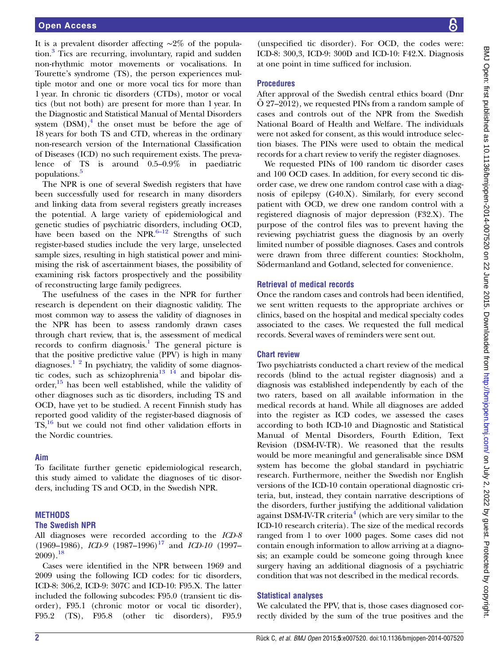It is a prevalent disorder affecting ∼2% of the population.[3](#page-6-0) Tics are recurring, involuntary, rapid and sudden non-rhythmic motor movements or vocalisations. In Tourette's syndrome (TS), the person experiences multiple motor and one or more vocal tics for more than 1 year. In chronic tic disorders (CTDs), motor or vocal tics (but not both) are present for more than 1 year. In the Diagnostic and Statistical Manual of Mental Disorders system  $(DSM)$ ,<sup>[4](#page-6-0)</sup> the onset must be before the age of 18 years for both TS and CTD, whereas in the ordinary non-research version of the International Classification of Diseases (ICD) no such requirement exists. The prevalence of TS is around 0.5–0.9% in paediatric populations.[5](#page-6-0)

The NPR is one of several Swedish registers that have been successfully used for research in many disorders and linking data from several registers greatly increases the potential. A large variety of epidemiological and genetic studies of psychiatric disorders, including OCD, have been based on the NPR. $6-12$  $6-12$  Strengths of such register-based studies include the very large, unselected sample sizes, resulting in high statistical power and minimising the risk of ascertainment biases, the possibility of examining risk factors prospectively and the possibility of reconstructing large family pedigrees.

The usefulness of the cases in the NPR for further research is dependent on their diagnostic validity. The most common way to assess the validity of diagnoses in the NPR has been to assess randomly drawn cases through chart review, that is, the assessment of medical  $records$  to confirm diagnosis.<sup>[1](#page-6-0)</sup> The general picture is that the positive predictive value (PPV) is high in many diagnoses.<sup>[1 2](#page-6-0)</sup> In psychiatry, the validity of some diagnos-tic codes, such as schizophrenia<sup>[13 14](#page-6-0)</sup> and bipolar disorder, $^{15}$  $^{15}$  $^{15}$  has been well established, while the validity of other diagnoses such as tic disorders, including TS and OCD, have yet to be studied. A recent Finnish study has reported good validity of the register-based diagnosis of TS,[16](#page-6-0) but we could not find other validation efforts in the Nordic countries.

# Aim

To facilitate further genetic epidemiological research, this study aimed to validate the diagnoses of tic disorders, including TS and OCD, in the Swedish NPR.

# **METHODS**

### The Swedish NPR

All diagnoses were recorded according to the ICD-8  $(1969-1986)$ , ICD-9  $(1987-1996)^{17}$  $(1987-1996)^{17}$  $(1987-1996)^{17}$  and ICD-10  $(1997 2009$ ).<sup>[18](#page-6-0)</sup>

Cases were identified in the NPR between 1969 and 2009 using the following ICD codes: for tic disorders, ICD-8: 306,2, ICD-9: 307C and ICD-10: F95.X. The latter included the following subcodes: F95.0 (transient tic disorder), F95.1 (chronic motor or vocal tic disorder), F95.2 (TS), F95.8 (other tic disorders), F95.9

(unspecified tic disorder). For OCD, the codes were: ICD-8: 300,3, ICD-9: 300D and ICD-10: F42.X. Diagnosis at one point in time sufficed for inclusion.

## Procedures

After approval of the Swedish central ethics board (Dnr Ö 27–2012), we requested PINs from a random sample of cases and controls out of the NPR from the Swedish National Board of Health and Welfare. The individuals were not asked for consent, as this would introduce selection biases. The PINs were used to obtain the medical records for a chart review to verify the register diagnoses.

We requested PINs of 100 random tic disorder cases and 100 OCD cases. In addition, for every second tic disorder case, we drew one random control case with a diagnosis of epilepsy (G40.X). Similarly, for every second patient with OCD, we drew one random control with a registered diagnosis of major depression (F32.X). The purpose of the control files was to prevent having the reviewing psychiatrist guess the diagnosis by an overly limited number of possible diagnoses. Cases and controls were drawn from three different counties: Stockholm, Södermanland and Gotland, selected for convenience.

### Retrieval of medical records

Once the random cases and controls had been identified, we sent written requests to the appropriate archives or clinics, based on the hospital and medical specialty codes associated to the cases. We requested the full medical records. Several waves of reminders were sent out.

### Chart review

Two psychiatrists conducted a chart review of the medical records (blind to the actual register diagnosis) and a diagnosis was established independently by each of the two raters, based on all available information in the medical records at hand. While all diagnoses are added into the register as ICD codes, we assessed the cases according to both ICD-10 and Diagnostic and Statistical Manual of Mental Disorders, Fourth Edition, Text Revision (DSM-IV-TR). We reasoned that the results would be more meaningful and generalisable since DSM system has become the global standard in psychiatric research. Furthermore, neither the Swedish nor English versions of the ICD-10 contain operational diagnostic criteria, but, instead, they contain narrative descriptions of the disorders, further justifying the additional validation against DSM-IV-TR criteria<sup>[4](#page-6-0)</sup> (which are very similar to the ICD-10 research criteria). The size of the medical records ranged from 1 to over 1000 pages. Some cases did not contain enough information to allow arriving at a diagnosis; an example could be someone going through knee surgery having an additional diagnosis of a psychiatric condition that was not described in the medical records.

# Statistical analyses

We calculated the PPV, that is, those cases diagnosed correctly divided by the sum of the true positives and the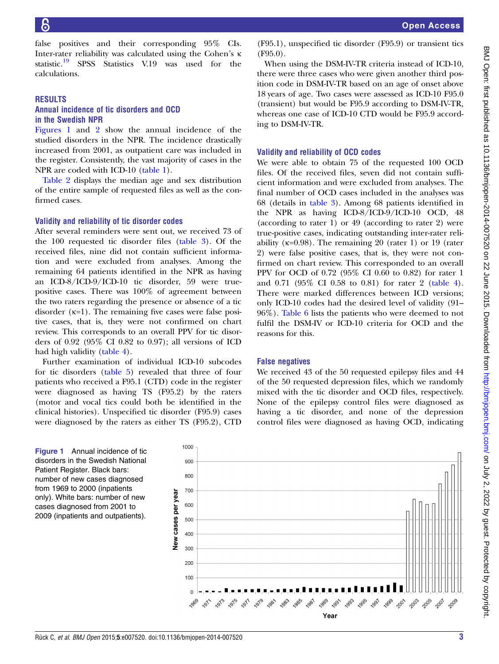false positives and their corresponding 95% CIs. Inter-rater reliability was calculated using the Cohen's κ statistic.[19](#page-6-0) SPSS Statistics V.19 was used for the calculations.

#### RESULTS

### Annual incidence of tic disorders and OCD in the Swedish NPR

Figures 1 and [2](#page-3-0) show the annual incidence of the studied disorders in the NPR. The incidence drastically increased from 2001, as outpatient care was included in the register. Consistently, the vast majority of cases in the NPR are coded with ICD-10 ([table 1\)](#page-3-0).

[Table 2](#page-3-0) displays the median age and sex distribution of the entire sample of requested files as well as the confirmed cases.

#### Validity and reliability of tic disorder codes

After several reminders were sent out, we received 73 of the 100 requested tic disorder files ([table 3\)](#page-3-0). Of the received files, nine did not contain sufficient information and were excluded from analyses. Among the remaining 64 patients identified in the NPR as having an ICD-8/ICD-9/ICD-10 tic disorder, 59 were truepositive cases. There was 100% of agreement between the two raters regarding the presence or absence of a tic disorder  $(\kappa=1)$ . The remaining five cases were false positive cases, that is, they were not confirmed on chart review. This corresponds to an overall PPV for tic disorders of 0.92 (95% CI 0.82 to 0.97); all versions of ICD had high validity [\(table 4\)](#page-4-0).

Further examination of individual ICD-10 subcodes for tic disorders [\(table 5\)](#page-4-0) revealed that three of four patients who received a F95.1 (CTD) code in the register were diagnosed as having TS (F95.2) by the raters (motor and vocal tics could both be identified in the clinical histories). Unspecified tic disorder (F95.9) cases were diagnosed by the raters as either TS (F95.2), CTD

Open Access

(F95.1), unspecified tic disorder (F95.9) or transient tics (F95.0).

When using the DSM-IV-TR criteria instead of ICD-10, there were three cases who were given another third position code in DSM-IV-TR based on an age of onset above 18 years of age. Two cases were assessed as ICD-10 F95.0 (transient) but would be F95.9 according to DSM-IV-TR, whereas one case of ICD-10 CTD would be F95.9 according to DSM-IV-TR.

#### Validity and reliability of OCD codes

We were able to obtain 75 of the requested 100 OCD files. Of the received files, seven did not contain sufficient information and were excluded from analyses. The final number of OCD cases included in the analyses was 68 (details in [table 3](#page-3-0)). Among 68 patients identified in the NPR as having ICD-8/ICD-9/ICD-10 OCD, 48 (according to rater 1) or 49 (according to rater 2) were true-positive cases, indicating outstanding inter-rater reliability ( $\kappa$ =0.98). The remaining 20 (rater 1) or 19 (rater 2) were false positive cases, that is, they were not confirmed on chart review. This corresponded to an overall PPV for OCD of 0.72 (95% CI 0.60 to 0.82) for rater 1 and 0.71 (95% CI 0.58 to 0.81) for rater 2 [\(table 4\)](#page-4-0). There were marked differences between ICD versions; only ICD-10 codes had the desired level of validity (91– 96%). [Table 6](#page-5-0) lists the patients who were deemed to not fulfil the DSM-IV or ICD-10 criteria for OCD and the reasons for this.

#### False negatives

We received 43 of the 50 requested epilepsy files and 44 of the 50 requested depression files, which we randomly mixed with the tic disorder and OCD files, respectively. None of the epilepsy control files were diagnosed as having a tic disorder, and none of the depression control files were diagnosed as having OCD, indicating

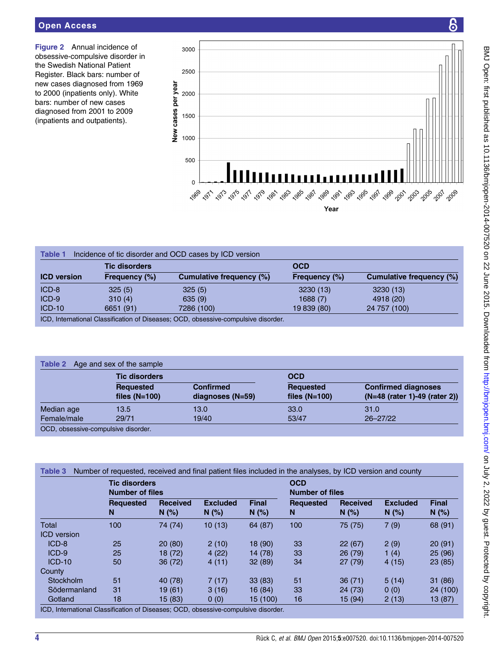<span id="page-3-0"></span>Figure 2 Annual incidence of obsessive-compulsive disorder in the Swedish National Patient Register. Black bars: number of new cases diagnosed from 1969 to 2000 (inpatients only). White bars: number of new cases diagnosed from 2001 to 2009 (inpatients and outpatients).



|                    | <b>Tic disorders</b> |                          | <b>OCD</b>    |                          |
|--------------------|----------------------|--------------------------|---------------|--------------------------|
| <b>ICD</b> version | Frequency (%)        | Cumulative frequency (%) | Frequency (%) | Cumulative frequency (%) |
| $ICD-8$            | 325(5)               | 325(5)                   | 3230(13)      | 3230(13)                 |
| ICD-9              | 310(4)               | 635(9)                   | 1688(7)       | 4918 (20)                |
| $ICD-10$           | 6651 (91)            | 7286 (100)               | 19 839 (80)   | 24 757 (100)             |

ICD, International Classification of Diseases; OCD, obsessive-compulsive disorder.

| Table 2     | Age and sex of the sample           |                                        |                              |                                                             |  |
|-------------|-------------------------------------|----------------------------------------|------------------------------|-------------------------------------------------------------|--|
|             | <b>Tic disorders</b>                |                                        | <b>OCD</b>                   |                                                             |  |
|             | <b>Requested</b><br>files $(N=100)$ | <b>Confirmed</b><br>diagnoses $(N=59)$ | Requested<br>files $(N=100)$ | <b>Confirmed diagnoses</b><br>(N=48 (rater 1)-49 (rater 2)) |  |
| Median age  | 13.5                                | 13.0                                   | 33.0                         | 31.0                                                        |  |
| Female/male | 29/71                               | 19/40                                  | 53/47                        | $26 - 27/22$                                                |  |

|                    | <b>Tic disorders</b><br>Number of files |                         |                         | <b>OCD</b><br><b>Number of files</b> |                       |                         |                         |                      |
|--------------------|-----------------------------------------|-------------------------|-------------------------|--------------------------------------|-----------------------|-------------------------|-------------------------|----------------------|
|                    | <b>Requested</b><br>N                   | <b>Received</b><br>N(%) | <b>Excluded</b><br>N(%) | <b>Final</b><br>N(% )                | <b>Requested</b><br>N | <b>Received</b><br>N(%) | <b>Excluded</b><br>N(%) | <b>Final</b><br>N(%) |
| Total              | 100                                     | 74 (74)                 | 10(13)                  | 64 (87)                              | 100                   | 75 (75)                 | 7(9)                    | 68 (91)              |
| <b>ICD</b> version |                                         |                         |                         |                                      |                       |                         |                         |                      |
| $ICD-8$            | 25                                      | 20(80)                  | 2(10)                   | 18 (90)                              | 33                    | 22(67)                  | 2(9)                    | 20(91)               |
| $ICD-9$            | 25                                      | 18 (72)                 | 4(22)                   | 14 (78)                              | 33                    | 26(79)                  | 1 $(4)$                 | 25(96)               |
| $ICD-10$           | 50                                      | 36(72)                  | 4(11)                   | 32(89)                               | 34                    | 27(79)                  | 4(15)                   | 23(85)               |
| County             |                                         |                         |                         |                                      |                       |                         |                         |                      |
| Stockholm          | 51                                      | 40 (78)                 | 7(17)                   | 33(83)                               | 51                    | 36(71)                  | 5(14)                   | 31(86)               |
| Södermanland       | 31                                      | 19(61)                  | 3(16)                   | 16(84)                               | 33                    | 24 (73)                 | 0(0)                    | 24 (100)             |
| Gotland            | 18                                      | 15(83)                  | 0(0)                    | 15 (100)                             | 16                    | 15 (94)                 | 2(13)                   | 13 (87)              |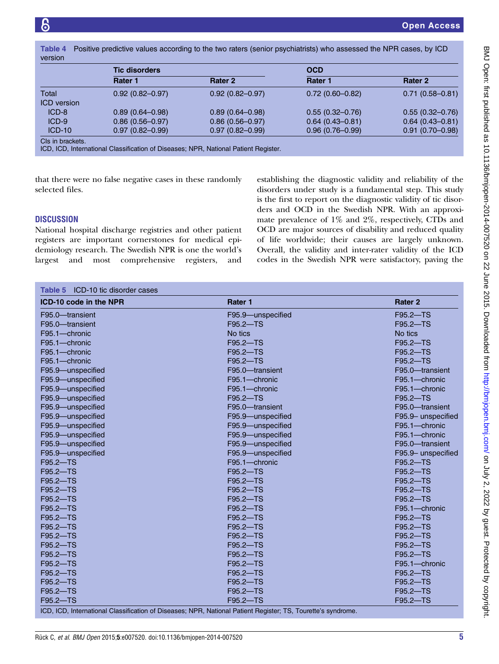<span id="page-4-0"></span>

|                    | <b>Tic disorders</b> |                     | <b>OCD</b>          |                     |
|--------------------|----------------------|---------------------|---------------------|---------------------|
|                    | Rater 1              | Rater 2             | Rater 1             | Rater 2             |
| Total              | $0.92(0.82 - 0.97)$  | $0.92(0.82 - 0.97)$ | $0.72(0.60 - 0.82)$ | $0.71(0.58 - 0.81)$ |
| <b>ICD</b> version |                      |                     |                     |                     |
| $ICD-8$            | $0.89(0.64 - 0.98)$  | $0.89(0.64 - 0.98)$ | $0.55(0.32 - 0.76)$ | $0.55(0.32 - 0.76)$ |
| $ICD-9$            | $0.86(0.56 - 0.97)$  | $0.86(0.56 - 0.97)$ | $0.64(0.43 - 0.81)$ | $0.64(0.43 - 0.81)$ |
| $ICD-10$           | $0.97(0.82 - 0.99)$  | $0.97(0.82 - 0.99)$ | $0.96(0.76 - 0.99)$ | $0.91(0.70 - 0.98)$ |

ICD, ICD, International Classification of Diseases; NPR, National Patient Register.

that there were no false negative cases in these randomly selected files.

#### **DISCUSSION**

National hospital discharge registries and other patient registers are important cornerstones for medical epidemiology research. The Swedish NPR is one the world's largest and most comprehensive registers, and

establishing the diagnostic validity and reliability of the disorders under study is a fundamental step. This study is the first to report on the diagnostic validity of tic disorders and OCD in the Swedish NPR. With an approximate prevalence of 1% and 2%, respectively, CTDs and OCD are major sources of disability and reduced quality of life worldwide; their causes are largely unknown. Overall, the validity and inter-rater validity of the ICD codes in the Swedish NPR were satisfactory, paving the

| ICD-10 code in the NPR | Rater 1           | Rater <sub>2</sub> |
|------------------------|-------------------|--------------------|
| F95.0-transient        | F95.9-unspecified | $F95.2 - TS$       |
| F95.0-transient        | $F95.2 - TS$      | $F95.2 - TS$       |
| F95.1-chronic          | No tics           | No tics            |
| F95.1-chronic          | $F95.2 - TS$      | $F95.2 - TS$       |
| F95.1-chronic          | $F95.2 - TS$      | $F95.2 - TS$       |
| F95.1-chronic          | $F95.2 - TS$      | $F95.2 - TS$       |
| F95.9-unspecified      | F95.0-transient   | F95.0-transient    |
| F95.9-unspecified      | F95.1-chronic     | F95.1-chronic      |
| F95.9-unspecified      | F95.1-chronic     | F95.1-chronic      |
| F95.9-unspecified      | $F95.2 - TS$      | F95.2-TS           |
| F95.9-unspecified      | F95.0-transient   | F95.0-transient    |
| F95.9-unspecified      | F95.9-unspecified | F95.9- unspecified |
| F95.9-unspecified      | F95.9-unspecified | F95.1-chronic      |
| F95.9-unspecified      | F95.9-unspecified | F95.1-chronic      |
| F95.9-unspecified      | F95.9-unspecified | F95.0-transient    |
| F95.9-unspecified      | F95.9-unspecified | F95.9- unspecified |
| F95.2-TS               | F95.1-chronic     | $F95.2 - TS$       |
| F95.2-TS               | $F95.2 - TS$      | $F95.2 - TS$       |
| $F95.2 - TS$           | $F95.2 - TS$      | $F95.2 - TS$       |
| F95.2-TS               | $F95.2 - TS$      | $F95.2 - TS$       |
| $F95.2 - TS$           | $F95.2 - TS$      | $F95.2 - TS$       |
| F95.2-TS               | F95.2-TS          | F95.1-chronic      |
| $F95.2 - TS$           | $F95.2 - TS$      | F95.2-TS           |
| F95.2-TS               | F95.2-TS          | F95.2-TS           |
| F95.2-TS               | F95.2-TS          | F95.2-TS           |
| $F95.2 - TS$           | F95.2-TS          | F95.2-TS           |
| $F95.2 - TS$           | $F95.2 - TS$      | $F95.2 - TS$       |
| $F95.2 - TS$           | $F95.2 - TS$      | F95.1-chronic      |
| $F95.2 - TS$           | $F95.2 - TS$      | $F95.2 - TS$       |
| $F95.2 - TS$           | $F95.2 - TS$      | $F95.2 - TS$       |
| $F95.2 - TS$           | $F95.2 - TS$      | $F95.2 - TS$       |
| $F95.2 - TS$           | $F95.2 - TS$      | $F95.2 - TS$       |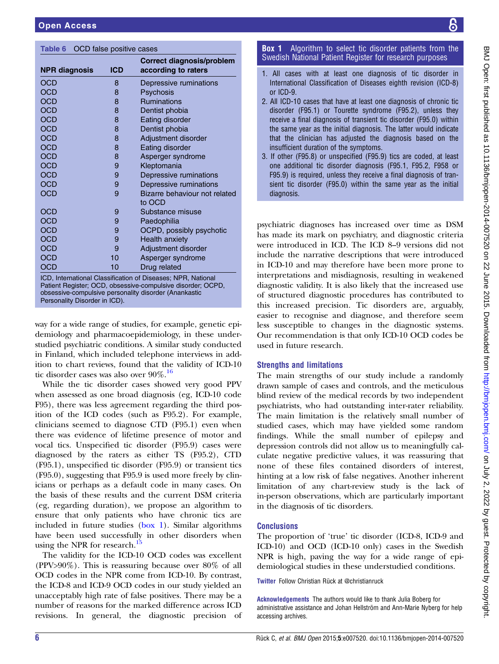<span id="page-5-0"></span>

| Table 6 CCD falco positivo casos |  |
|----------------------------------|--|
|                                  |  |
|                                  |  |

| <b>NPR diagnosis</b>                                                                                                                                                                 | <b>ICD</b> | Correct diagnosis/problem<br>according to raters |  |
|--------------------------------------------------------------------------------------------------------------------------------------------------------------------------------------|------------|--------------------------------------------------|--|
| OCD                                                                                                                                                                                  | 8          | Depressive ruminations                           |  |
| <b>OCD</b>                                                                                                                                                                           | 8          | <b>Psychosis</b>                                 |  |
| <b>OCD</b>                                                                                                                                                                           | 8          | <b>Ruminations</b>                               |  |
| OCD                                                                                                                                                                                  | 8          | Dentist phobia                                   |  |
| OCD                                                                                                                                                                                  | 8          | Eating disorder                                  |  |
| <b>OCD</b>                                                                                                                                                                           | 8          | Dentist phobia                                   |  |
| <b>OCD</b>                                                                                                                                                                           | 8          | Adjustment disorder                              |  |
| <b>OCD</b>                                                                                                                                                                           | 8          | Eating disorder                                  |  |
| <b>OCD</b>                                                                                                                                                                           | 8          | Asperger syndrome                                |  |
| OCD                                                                                                                                                                                  | 9          | Kleptomania                                      |  |
| <b>OCD</b>                                                                                                                                                                           | 9          | Depressive ruminations                           |  |
| <b>OCD</b>                                                                                                                                                                           | 9          | Depressive ruminations                           |  |
| <b>OCD</b>                                                                                                                                                                           | 9          | Bizarre behaviour not related                    |  |
|                                                                                                                                                                                      |            | to OCD                                           |  |
| OCD                                                                                                                                                                                  | 9          | Substance misuse                                 |  |
| <b>OCD</b>                                                                                                                                                                           | 9          | Paedophilia                                      |  |
| <b>OCD</b>                                                                                                                                                                           | 9          | OCPD, possibly psychotic                         |  |
| <b>OCD</b>                                                                                                                                                                           | 9          | Health anxiety                                   |  |
| OCD                                                                                                                                                                                  | 9          | Adjustment disorder                              |  |
| <b>OCD</b>                                                                                                                                                                           | 10         | Asperger syndrome                                |  |
| <b>OCD</b>                                                                                                                                                                           | 10         | Drug related                                     |  |
| ICD, International Classification of Diseases; NPR, National<br>Patient Register; OCD, obsessive-compulsive disorder; OCPD,<br>obsessive-compulsive personality disorder (Anankastic |            |                                                  |  |

Personality Disorder in ICD).

way for a wide range of studies, for example, genetic epidemiology and pharmacoepidemiology, in these understudied psychiatric conditions. A similar study conducted in Finland, which included telephone interviews in addition to chart reviews, found that the validity of ICD-10 tic disorder cases was also over 90%.<sup>[16](#page-6-0)</sup>

While the tic disorder cases showed very good PPV when assessed as one broad diagnosis (eg, ICD-10 code F95), there was less agreement regarding the third position of the ICD codes (such as F95.2). For example, clinicians seemed to diagnose CTD (F95.1) even when there was evidence of lifetime presence of motor and vocal tics. Unspecified tic disorder (F95.9) cases were diagnosed by the raters as either TS (F95.2), CTD (F95.1), unspecified tic disorder (F95.9) or transient tics (F95.0), suggesting that F95.9 is used more freely by clinicians or perhaps as a default code in many cases. On the basis of these results and the current DSM criteria (eg, regarding duration), we propose an algorithm to ensure that only patients who have chronic tics are included in future studies (box 1). Similar algorithms have been used successfully in other disorders when using the NPR for research.<sup>[15](#page-6-0)</sup>

The validity for the ICD-10 OCD codes was excellent (PPV>90%). This is reassuring because over 80% of all OCD codes in the NPR come from ICD-10. By contrast, the ICD-8 and ICD-9 OCD codes in our study yielded an unacceptably high rate of false positives. There may be a number of reasons for the marked difference across ICD revisions. In general, the diagnostic precision of

**Box 1** Algorithm to select tic disorder patients from the Swedish National Patient Register for research purposes

- 1. All cases with at least one diagnosis of tic disorder in International Classification of Diseases eighth revision (ICD-8) or ICD-9.
- 2. All ICD-10 cases that have at least one diagnosis of chronic tic disorder (F95.1) or Tourette syndrome (F95.2), unless they receive a final diagnosis of transient tic disorder (F95.0) within the same year as the initial diagnosis. The latter would indicate that the clinician has adjusted the diagnosis based on the insufficient duration of the symptoms.
- 3. If other (F95.8) or unspecified (F95.9) tics are coded, at least one additional tic disorder diagnosis (F95.1, F95.2, F958 or F95.9) is required, unless they receive a final diagnosis of transient tic disorder (F95.0) within the same year as the initial diagnosis.

psychiatric diagnoses has increased over time as DSM has made its mark on psychiatry, and diagnostic criteria were introduced in ICD. The ICD 8–9 versions did not include the narrative descriptions that were introduced in ICD-10 and may therefore have been more prone to interpretations and misdiagnosis, resulting in weakened diagnostic validity. It is also likely that the increased use of structured diagnostic procedures has contributed to this increased precision. Tic disorders are, arguably, easier to recognise and diagnose, and therefore seem less susceptible to changes in the diagnostic systems. Our recommendation is that only ICD-10 OCD codes be used in future research.

# Strengths and limitations

The main strengths of our study include a randomly drawn sample of cases and controls, and the meticulous blind review of the medical records by two independent psychiatrists, who had outstanding inter-rater reliability. The main limitation is the relatively small number of studied cases, which may have yielded some random findings. While the small number of epilepsy and depression controls did not allow us to meaningfully calculate negative predictive values, it was reassuring that none of these files contained disorders of interest, hinting at a low risk of false negatives. Another inherent limitation of any chart-review study is the lack of in-person observations, which are particularly important in the diagnosis of tic disorders.

# **Conclusions**

The proportion of 'true' tic disorder (ICD-8, ICD-9 and ICD-10) and OCD (ICD-10 only) cases in the Swedish NPR is high, paving the way for a wide range of epidemiological studies in these understudied conditions.

Twitter Follow Christian Rück at [@christianruck](http://twitter.com/christianruck)

Acknowledgements The authors would like to thank Julia Boberg for administrative assistance and Johan Hellström and Ann-Marie Nyberg for help accessing archives.